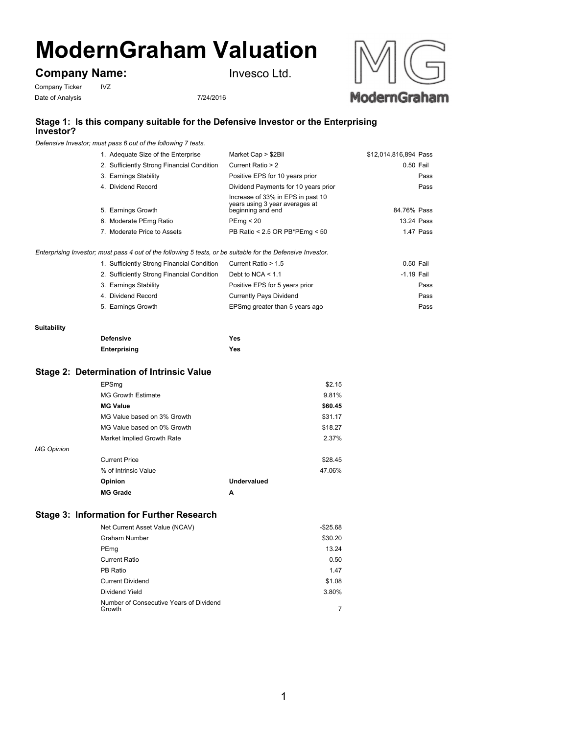# **ModernGraham Valuation**

## **Company Name:**

Company Ticker IVZ Date of Analysis 7/24/2016

Invesco Ltd.





## **Stage 1: Is this company suitable for the Defensive Investor or the Enterprising Investor?**

*Defensive Investor; must pass 6 out of the following 7 tests.*

| 1. Adequate Size of the Enterprise         | Market Cap > \$2Bil                                                                      | \$12,014,816,894 Pass |
|--------------------------------------------|------------------------------------------------------------------------------------------|-----------------------|
| 2. Sufficiently Strong Financial Condition | Current Ratio > 2                                                                        | 0.50 Fail             |
| 3. Earnings Stability                      | Positive EPS for 10 years prior                                                          | Pass                  |
| 4. Dividend Record                         | Dividend Payments for 10 years prior                                                     | Pass                  |
| 5. Earnings Growth                         | Increase of 33% in EPS in past 10<br>years using 3 year averages at<br>beginning and end | 84.76% Pass           |
| 6. Moderate PEmg Ratio                     | PEmq < 20                                                                                | 13.24 Pass            |
| 7. Moderate Price to Assets                | PB Ratio < 2.5 OR PB*PEmg < 50                                                           | 1.47 Pass             |
|                                            |                                                                                          |                       |

*Enterprising Investor; must pass 4 out of the following 5 tests, or be suitable for the Defensive Investor.*

| Current Ratio > 1.5                                                                                                                                           | 0.50 Fail    |
|---------------------------------------------------------------------------------------------------------------------------------------------------------------|--------------|
| Debt to NCA $< 1.1$                                                                                                                                           | $-1.19$ Fail |
| Positive EPS for 5 years prior                                                                                                                                | Pass         |
| <b>Currently Pays Dividend</b>                                                                                                                                | Pass         |
| EPSmg greater than 5 years ago                                                                                                                                | Pass         |
| 1. Sufficiently Strong Financial Condition<br>2. Sufficiently Strong Financial Condition<br>3. Earnings Stability<br>4. Dividend Record<br>5. Earnings Growth |              |

#### **Suitability**

| <b>Defensive</b> | Yes |
|------------------|-----|
| Enterprising     | Yes |

### **Stage 2: Determination of Intrinsic Value**

|                   | EPSmq                       |             | \$2.15  |
|-------------------|-----------------------------|-------------|---------|
|                   | <b>MG Growth Estimate</b>   |             | 9.81%   |
|                   | <b>MG Value</b>             |             | \$60.45 |
|                   | MG Value based on 3% Growth |             | \$31.17 |
|                   | MG Value based on 0% Growth |             | \$18.27 |
|                   | Market Implied Growth Rate  |             | 2.37%   |
| <b>MG Opinion</b> |                             |             |         |
|                   | <b>Current Price</b>        |             | \$28.45 |
|                   | % of Intrinsic Value        |             | 47.06%  |
|                   | Opinion                     | Undervalued |         |
|                   | <b>MG Grade</b>             | Α           |         |

## **Stage 3: Information for Further Research**

| Net Current Asset Value (NCAV)                    | $-$ \$25.68 |
|---------------------------------------------------|-------------|
| Graham Number                                     | \$30.20     |
| PEmg                                              | 13.24       |
| Current Ratio                                     | 0.50        |
| PB Ratio                                          | 1.47        |
| <b>Current Dividend</b>                           | \$1.08      |
| Dividend Yield                                    | 3.80%       |
| Number of Consecutive Years of Dividend<br>Growth |             |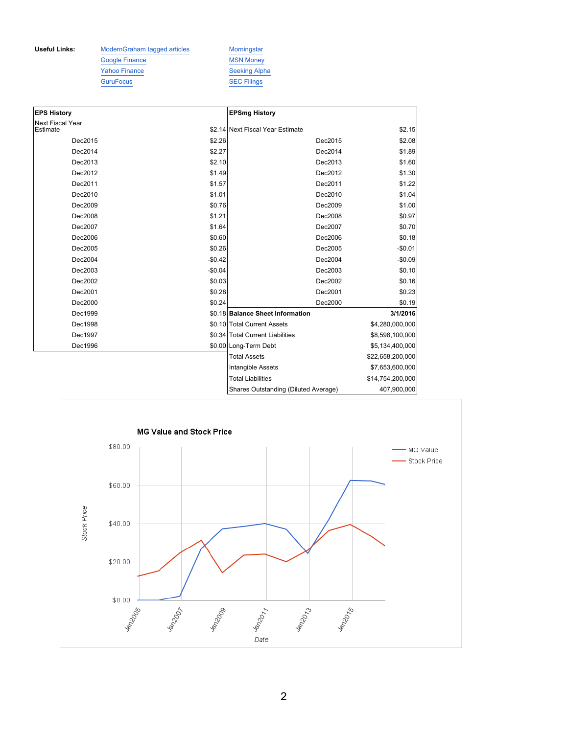Useful Links: ModernGraham tagged articles Morningstar Google Finance MSN Money Yahoo Finance Seeking Alpha GuruFocus SEC Filings

| <b>EPS History</b>                  |          | <b>EPSmg History</b>                 |                  |
|-------------------------------------|----------|--------------------------------------|------------------|
| <b>Next Fiscal Year</b><br>Estimate |          | \$2.14 Next Fiscal Year Estimate     | \$2.15           |
| Dec2015                             | \$2.26   | Dec2015                              | \$2.08           |
| Dec2014                             | \$2.27   | Dec2014                              | \$1.89           |
| Dec2013                             | \$2.10   | Dec2013                              | \$1.60           |
| Dec2012                             | \$1.49   | Dec2012                              | \$1.30           |
| Dec2011                             | \$1.57   | Dec2011                              | \$1.22           |
| Dec2010                             | \$1.01   | Dec2010                              | \$1.04           |
| Dec2009                             | \$0.76   | Dec2009                              | \$1.00           |
| Dec2008                             | \$1.21   | Dec2008                              | \$0.97           |
| Dec2007                             | \$1.64   | Dec2007                              | \$0.70           |
| Dec2006                             | \$0.60   | Dec2006                              | \$0.18           |
| Dec2005                             | \$0.26   | Dec2005                              | $-$0.01$         |
| Dec2004                             | $-$0.42$ | Dec2004                              | $-$0.09$         |
| Dec2003                             | $-$0.04$ | Dec2003                              | \$0.10           |
| Dec2002                             | \$0.03   | Dec2002                              | \$0.16           |
| Dec2001                             | \$0.28   | Dec2001                              | \$0.23           |
| Dec2000                             | \$0.24   | Dec2000                              | \$0.19           |
| Dec1999                             |          | \$0.18 Balance Sheet Information     | 3/1/2016         |
| Dec1998                             |          | \$0.10 Total Current Assets          | \$4,280,000,000  |
| Dec1997                             |          | \$0.34 Total Current Liabilities     | \$8,598,100,000  |
| Dec1996                             |          | \$0.00 Long-Term Debt                | \$5,134,400,000  |
|                                     |          | <b>Total Assets</b>                  | \$22,658,200,000 |
|                                     |          | Intangible Assets                    | \$7,653,600,000  |
|                                     |          | <b>Total Liabilities</b>             | \$14,754,200,000 |
|                                     |          | Shares Outstanding (Diluted Average) | 407,900,000      |